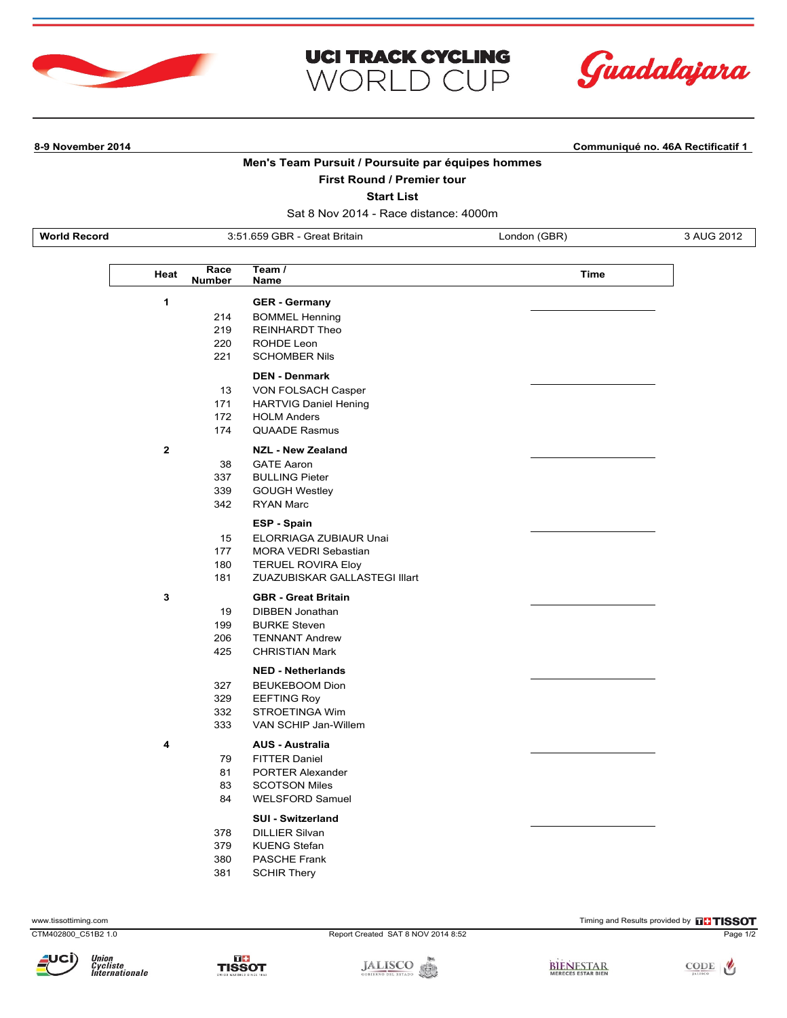





**8-9 November 2014 Communiqué no. 46A Rectificatif 1**

## **Men's Team Pursuit / Poursuite par équipes hommes**

## **First Round / Premier tour**

**Start List**

Sat 8 Nov 2014 - Race distance: 4000m

**World Record** 3:51.659 GBR - Great Britain London (GBR) 3 AUG 2012

L

|              | Race<br>Heat<br>Number | Team /<br>Name                | Time |
|--------------|------------------------|-------------------------------|------|
| 1            |                        | <b>GER - Germany</b>          |      |
|              | 214                    | <b>BOMMEL Henning</b>         |      |
|              | 219                    | <b>REINHARDT Theo</b>         |      |
|              | 220                    | ROHDE Leon                    |      |
|              | 221                    | <b>SCHOMBER Nils</b>          |      |
|              |                        | <b>DEN - Denmark</b>          |      |
|              | 13                     | VON FOLSACH Casper            |      |
|              | 171                    | <b>HARTVIG Daniel Hening</b>  |      |
|              | 172                    | <b>HOLM Anders</b>            |      |
|              | 174                    | <b>QUAADE Rasmus</b>          |      |
| $\mathbf{2}$ |                        | <b>NZL - New Zealand</b>      |      |
|              | 38                     | <b>GATE Aaron</b>             |      |
|              | 337                    | <b>BULLING Pieter</b>         |      |
|              | 339                    | <b>GOUGH Westley</b>          |      |
|              | 342                    | <b>RYAN Marc</b>              |      |
|              |                        | <b>ESP - Spain</b>            |      |
|              | 15                     | ELORRIAGA ZUBIAUR Unai        |      |
|              | 177                    | <b>MORA VEDRI Sebastian</b>   |      |
|              | 180                    | <b>TERUEL ROVIRA Eloy</b>     |      |
|              | 181                    | ZUAZUBISKAR GALLASTEGI Illart |      |
| 3            |                        | <b>GBR</b> - Great Britain    |      |
|              | 19                     | DIBBEN Jonathan               |      |
|              | 199                    | <b>BURKE Steven</b>           |      |
|              | 206                    | <b>TENNANT Andrew</b>         |      |
|              | 425                    | <b>CHRISTIAN Mark</b>         |      |
|              |                        | <b>NED - Netherlands</b>      |      |
|              | 327                    | <b>BEUKEBOOM Dion</b>         |      |
|              | 329                    | <b>EEFTING Roy</b>            |      |
|              | 332                    | STROETINGA Wim                |      |
|              | 333                    | VAN SCHIP Jan-Willem          |      |
| 4            |                        | <b>AUS - Australia</b>        |      |
|              | 79                     | <b>FITTER Daniel</b>          |      |
|              | 81                     | <b>PORTER Alexander</b>       |      |
|              | 83                     | <b>SCOTSON Miles</b>          |      |
|              | 84                     | <b>WELSFORD Samuel</b>        |      |
|              |                        | <b>SUI - Switzerland</b>      |      |
|              | 378                    | <b>DILLIER Silvan</b>         |      |
|              | 379                    | <b>KUENG Stefan</b>           |      |
|              | 380                    | PASCHE Frank                  |      |
|              | 381                    | <b>SCHIR Thery</b>            |      |

CTM402800\_C51B2 1.0 Report Created SAT 8 NOV 2014 8:52 Page 1/2